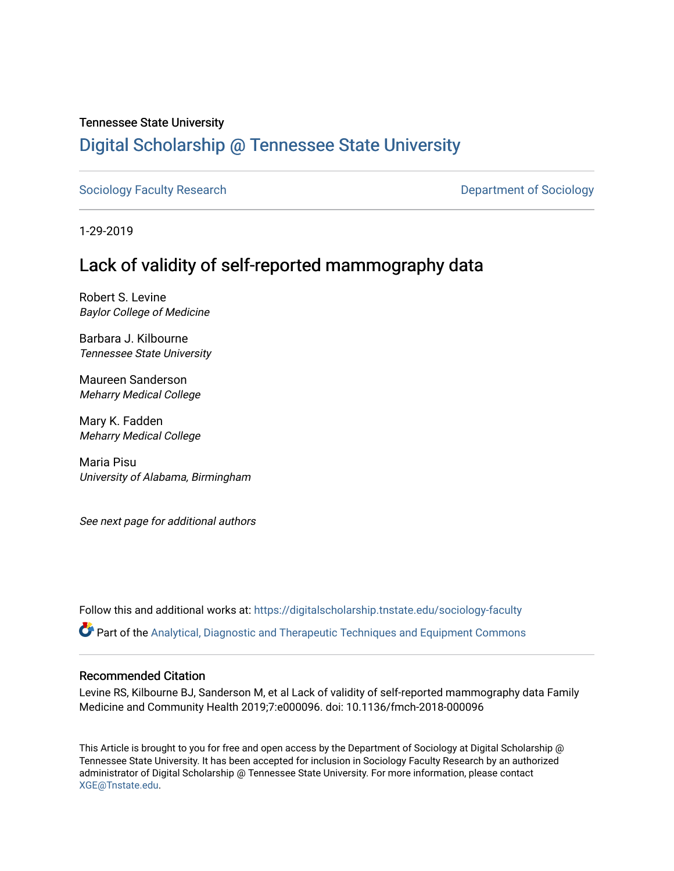#### Tennessee State University

## [Digital Scholarship @ Tennessee State University](https://digitalscholarship.tnstate.edu/)

[Sociology Faculty Research](https://digitalscholarship.tnstate.edu/sociology-faculty) **Department of Sociology Department of Sociology** 

1-29-2019

# Lack of validity of self-reported mammography data

Robert S. Levine Baylor College of Medicine

Barbara J. Kilbourne Tennessee State University

Maureen Sanderson Meharry Medical College

Mary K. Fadden Meharry Medical College

Maria Pisu University of Alabama, Birmingham

See next page for additional authors

Follow this and additional works at: [https://digitalscholarship.tnstate.edu/sociology-faculty](https://digitalscholarship.tnstate.edu/sociology-faculty?utm_source=digitalscholarship.tnstate.edu%2Fsociology-faculty%2F2&utm_medium=PDF&utm_campaign=PDFCoverPages) 

Part of the [Analytical, Diagnostic and Therapeutic Techniques and Equipment Commons](https://network.bepress.com/hgg/discipline/899?utm_source=digitalscholarship.tnstate.edu%2Fsociology-faculty%2F2&utm_medium=PDF&utm_campaign=PDFCoverPages)

#### Recommended Citation

Levine RS, Kilbourne BJ, Sanderson M, et al Lack of validity of self-reported mammography data Family Medicine and Community Health 2019;7:e000096. doi: 10.1136/fmch-2018-000096

This Article is brought to you for free and open access by the Department of Sociology at Digital Scholarship @ Tennessee State University. It has been accepted for inclusion in Sociology Faculty Research by an authorized administrator of Digital Scholarship @ Tennessee State University. For more information, please contact [XGE@Tnstate.edu](mailto:XGE@Tnstate.edu).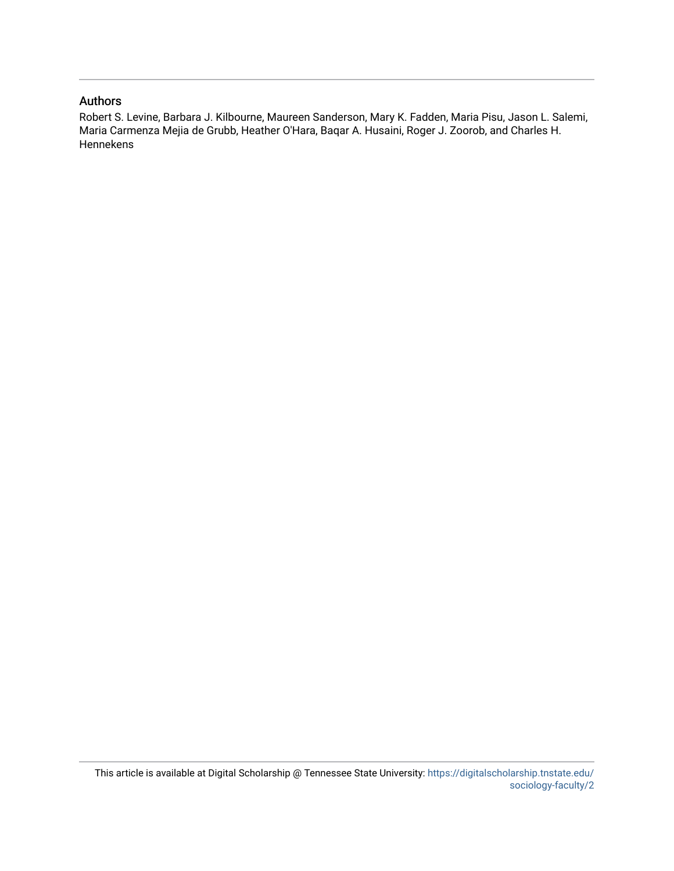#### Authors

Robert S. Levine, Barbara J. Kilbourne, Maureen Sanderson, Mary K. Fadden, Maria Pisu, Jason L. Salemi, Maria Carmenza Mejia de Grubb, Heather O'Hara, Baqar A. Husaini, Roger J. Zoorob, and Charles H. Hennekens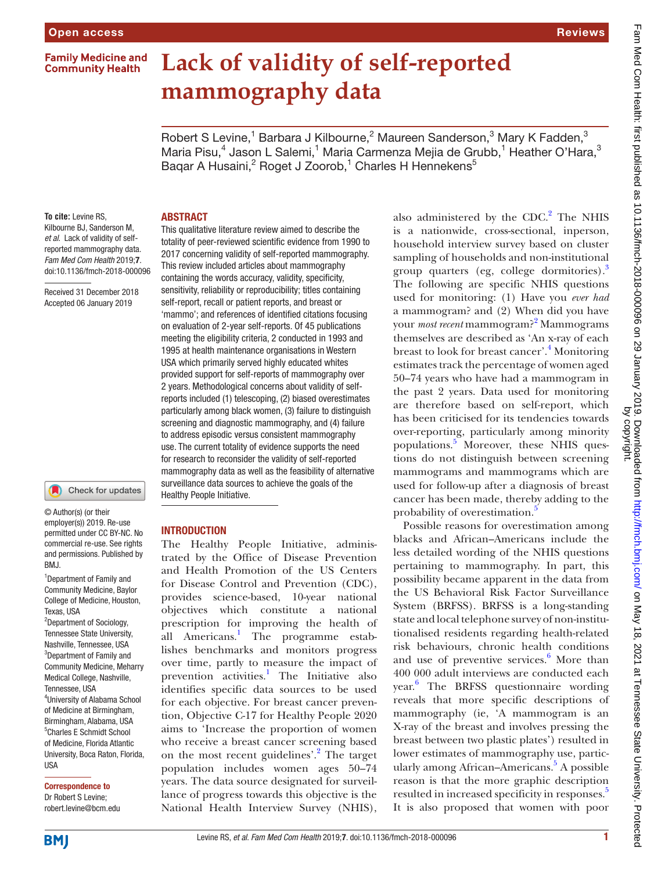**Family Medicine and Community Health** 

# **Lack of validity of self-reported mammography data**

Robert S Levine,<sup>1</sup> Barbara J Kilbourne,<sup>2</sup> Maureen Sanderson,<sup>3</sup> Mary K Fadden,<sup>3</sup> Maria Pisu,<sup>4</sup> Jason L Salemi,<sup>1</sup> Maria Carmenza Mejia de Grubb,<sup>1</sup> Heather O'Hara,<sup>3</sup> Baqar A Husaini,<sup>2</sup> Roget J Zoorob,<sup>1</sup> Charles H Hennekens<sup>5</sup>

#### **To cite:** Levine RS, Kilbourne BJ, Sanderson M, *et al*. Lack of validity of selfreported mammography data. *Fam Med Com Health* 2019;7. doi:10.1136/fmch-2018-000096

Received 31 December 2018 Accepted 06 January 2019

#### Check for updates

© Author(s) (or their employer(s)) 2019. Re-use permitted under CC BY-NC. No commercial re-use. See rights and permissions. Published by BMJ.

<sup>1</sup>Department of Family and Community Medicine, Baylor College of Medicine, Houston, Texas, USA

<sup>2</sup>Department of Sociology, Tennessee State University, Nashville, Tennessee, USA <sup>3</sup>Department of Family and Community Medicine, Meharry Medical College, Nashville, Tennessee, USA 4 University of Alabama School of Medicine at Birmingham, Birmingham, Alabama, USA 5 Charles E Schmidt School of Medicine, Florida Atlantic University, Boca Raton, Florida, USA

Correspondence to Dr Robert S Levine; robert.levine@bcm.edu

#### **ABSTRACT**

This qualitative literature review aimed to describe the totality of peer-reviewed scientific evidence from 1990 to 2017 concerning validity of self-reported mammography. This review included articles about mammography containing the words accuracy, validity, specificity, sensitivity, reliability or reproducibility; titles containing self-report, recall or patient reports, and breast or 'mammo'; and references of identified citations focusing on evaluation of 2-year self-reports. Of 45 publications meeting the eligibility criteria, 2 conducted in 1993 and 1995 at health maintenance organisations in Western USA which primarily served highly educated whites provided support for self-reports of mammography over 2 years. Methodological concerns about validity of selfreports included (1) telescoping, (2) biased overestimates particularly among black women, (3) failure to distinguish screening and diagnostic mammography, and (4) failure to address episodic versus consistent mammography use. The current totality of evidence supports the need for research to reconsider the validity of self-reported mammography data as well as the feasibility of alternative surveillance data sources to achieve the goals of the Healthy People Initiative.

#### **INTRODUCTION**

The Healthy People Initiative, administrated by the Office of Disease Prevention and Health Promotion of the US Centers for Disease Control and Prevention (CDC), provides science-based, 10-year national objectives which constitute a national prescription for improving the health of all Americans.<sup>[1](#page-11-0)</sup> The programme establishes benchmarks and monitors progress over time, partly to measure the impact of prevention activities.<sup>1</sup> The Initiative also identifies specific data sources to be used for each objective. For breast cancer prevention, Objective C-17 for Healthy People 2020 aims to 'Increase the proportion of women who receive a breast cancer screening based on the most recent guidelines'.<sup>[2](#page-12-0)</sup> The target population includes women ages 50–74 years. The data source designated for surveillance of progress towards this objective is the National Health Interview Survey (NHIS),

also administered by the  $CDC.<sup>2</sup>$  The NHIS is a nationwide, cross-sectional, inperson, household interview survey based on cluster sampling of households and non-institutional group quarters (eg, college dormitories). $3$ The following are specific NHIS questions used for monitoring: (1) Have you *ever had* a mammogram? and (2) When did you have your *most recent* mammogram?[2](#page-12-0) Mammograms themselves are described as 'An x-ray of each breast to look for breast cancer'.<sup>[4](#page-12-2)</sup> Monitoring estimates track the percentage of women aged 50–74 years who have had a mammogram in the past 2 years. Data used for monitoring are therefore based on self-report, which has been criticised for its tendencies towards over-reporting, particularly among minority populations.<sup>[5](#page-12-3)</sup> Moreover, these NHIS questions do not distinguish between screening mammograms and mammograms which are used for follow-up after a diagnosis of breast cancer has been made, thereby adding to the probability of overestimation.<sup>[5](#page-12-3)</sup>

Possible reasons for overestimation among blacks and African–Americans include the less detailed wording of the NHIS questions pertaining to mammography. In part, this possibility became apparent in the data from the US Behavioral Risk Factor Surveillance System (BRFSS). BRFSS is a long-standing state and local telephone survey of non-institutionalised residents regarding health-related risk behaviours, chronic health conditions and use of preventive services.<sup>[6](#page-12-4)</sup> More than 400 000 adult interviews are conducted each year. [6](#page-12-4) The BRFSS questionnaire wording reveals that more specific descriptions of mammography (ie, 'A mammogram is an X-ray of the breast and involves pressing the breast between two plastic plates') resulted in lower estimates of mammography use, partic-ularly among African-Americans.<sup>[5](#page-12-3)</sup> A possible reason is that the more graphic description resulted in increased specificity in responses.<sup>5</sup> It is also proposed that women with poor

Reviews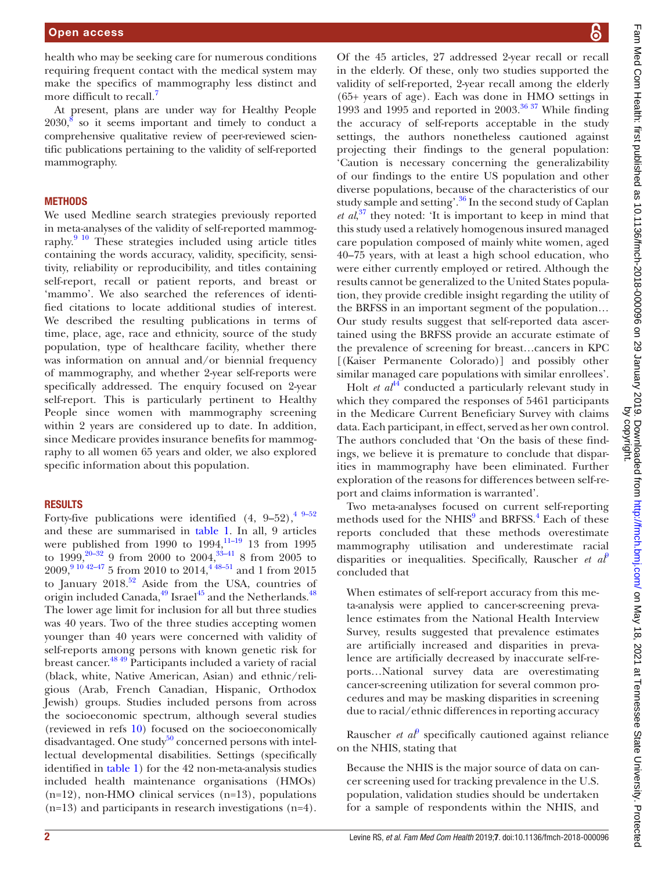health who may be seeking care for numerous conditions requiring frequent contact with the medical system may make the specifics of mammography less distinct and more difficult to recall.<sup>7</sup>

At present, plans are under way for Healthy People  $2030<sup>8</sup>$  so it seems important and timely to conduct a comprehensive qualitative review of peer-reviewed scientific publications pertaining to the validity of self-reported mammography.

#### **METHODS**

We used Medline search strategies previously reported in meta-analyses of the validity of self-reported mammography. $9\frac{10}{10}$  These strategies included using article titles containing the words accuracy, validity, specificity, sensitivity, reliability or reproducibility, and titles containing self-report, recall or patient reports, and breast or 'mammo'. We also searched the references of identified citations to locate additional studies of interest. We described the resulting publications in terms of time, place, age, race and ethnicity, source of the study population, type of healthcare facility, whether there was information on annual and/or biennial frequency of mammography, and whether 2-year self-reports were specifically addressed. The enquiry focused on 2-year self-report. This is particularly pertinent to Healthy People since women with mammography screening within 2 years are considered up to date. In addition, since Medicare provides insurance benefits for mammography to all women 65 years and older, we also explored specific information about this population.

#### **RESULTS**

Forty-five publications were identified  $(4, 9-52), \frac{4}{3}-52$ and these are summarised in [table](#page-4-0) 1. In all, 9 articles were published from  $1990$  to  $1994$ ,  $11-19$  13 from  $1995$ to  $1999,^{20-32}$  9 from 2000 to  $2004,^{33-41}$  8 from 2005 to  $2009,^{9\,10\,42-47}$  5 from 2010 to  $2014,^{4\,48-51}$  and 1 from 2015 to January  $2018^{52}$  Aside from the USA, countries of origin included Canada,<sup>49</sup> Israel<sup>[45](#page-12-13)</sup> and the Netherlands.<sup>48</sup> The lower age limit for inclusion for all but three studies was 40 years. Two of the three studies accepting women younger than 40 years were concerned with validity of self-reports among persons with known genetic risk for breast cancer.<sup>48 49</sup> Participants included a variety of racial (black, white, Native American, Asian) and ethnic/religious (Arab, French Canadian, Hispanic, Orthodox Jewish) groups. Studies included persons from across the socioeconomic spectrum, although several studies (reviewed in refs [10\)](#page-12-15) focused on the socioeconomically disadvantaged. One study<sup>50</sup> concerned persons with intellectual developmental disabilities. Settings (specifically identified in [table](#page-4-0) 1) for the 42 non-meta-analysis studies included health maintenance organisations (HMOs) (n=12), non-HMO clinical services (n=13), populations (n=13) and participants in research investigations (n=4).

Of the 45 articles, 27 addressed 2-year recall or recall in the elderly. Of these, only two studies supported the validity of self-reported, 2-year recall among the elderly (65+ years of age). Each was done in HMO settings in 1993 and 1995 and reported in 2003. $3637$  While finding the accuracy of self-reports acceptable in the study settings, the authors nonetheless cautioned against projecting their findings to the general population: 'Caution is necessary concerning the generalizability of our findings to the entire US population and other diverse populations, because of the characteristics of our study sample and setting'.<sup>36</sup> In the second study of Caplan *et al*, [37](#page-12-18) they noted: 'It is important to keep in mind that this study used a relatively homogenous insured managed care population composed of mainly white women, aged 40–75 years, with at least a high school education, who were either currently employed or retired. Although the results cannot be generalized to the United States population, they provide credible insight regarding the utility of the BRFSS in an important segment of the population… Our study results suggest that self-reported data ascertained using the BRFSS provide an accurate estimate of the prevalence of screening for breast…cancers in KPC [(Kaiser Permanente Colorado)] and possibly other similar managed care populations with similar enrollees'.

Holt *et al*<sup>[44](#page-12-19)</sup> conducted a particularly relevant study in which they compared the responses of 5461 participants in the Medicare Current Beneficiary Survey with claims data. Each participant, in effect, served as her own control. The authors concluded that 'On the basis of these findings, we believe it is premature to conclude that disparities in mammography have been eliminated. Further exploration of the reasons for differences between self-report and claims information is warranted'.

Two meta-analyses focused on current self-reporting methods used for the NHIS<sup>[9](#page-12-7)</sup> and BRFSS.<sup>4</sup> Each of these reports concluded that these methods overestimate mammography utilisation and underestimate racial disparities or inequalities. Specifically, Rauscher *et al*[9](#page-12-7) concluded that

When estimates of self-report accuracy from this meta-analysis were applied to cancer-screening prevalence estimates from the National Health Interview Survey, results suggested that prevalence estimates are artificially increased and disparities in prevalence are artificially decreased by inaccurate self-reports…National survey data are overestimating cancer-screening utilization for several common procedures and may be masking disparities in screening due to racial/ethnic differences in reporting accuracy

Rauscher *et al*<sup> $\theta$ </sup> specifically cautioned against reliance on the NHIS, stating that

Because the NHIS is the major source of data on cancer screening used for tracking prevalence in the U.S. population, validation studies should be undertaken for a sample of respondents within the NHIS, and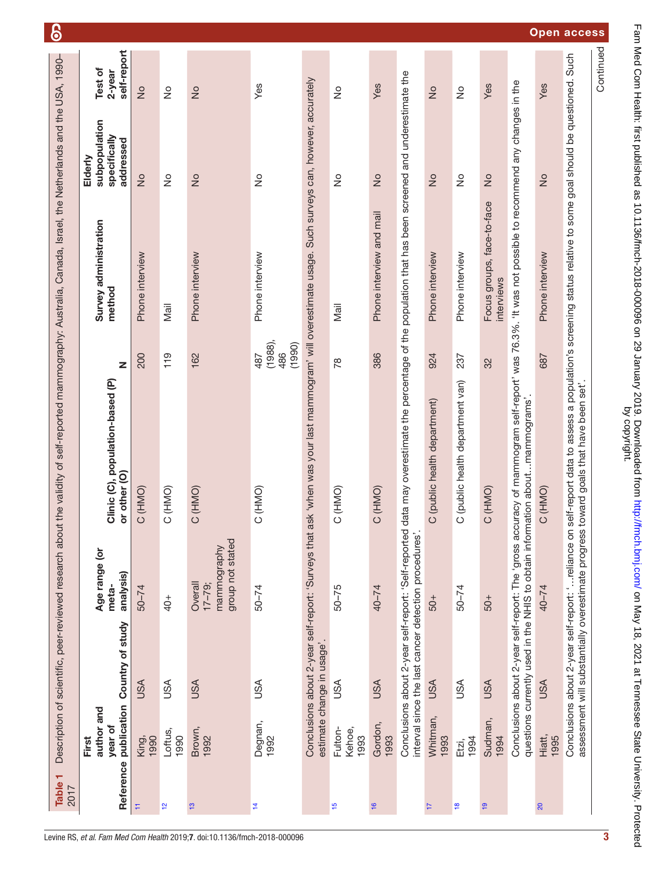<span id="page-4-0"></span>

| Table 1<br>2017 |                                |                                                      |                                                           | Description of scientific, peer-reviewed research about the validity of self-reported mammography: Australia, Canada, Israel, the Netherlands and the USA, 1990-                                                                                        |                                    |                                          |                                                       | ၆                                |                    |
|-----------------|--------------------------------|------------------------------------------------------|-----------------------------------------------------------|---------------------------------------------------------------------------------------------------------------------------------------------------------------------------------------------------------------------------------------------------------|------------------------------------|------------------------------------------|-------------------------------------------------------|----------------------------------|--------------------|
| Reference       | author and<br>year of<br>First | publication Country of study                         | Age range (or<br>analysis)<br>meta-                       | Clinic (C), population-based (P)<br>or other (O)                                                                                                                                                                                                        | z                                  | Survey administration<br>method          | subpopulation<br>specifically<br>addressed<br>Elderly | self-report<br>Test of<br>2-year |                    |
| Ħ               | 1990<br>King,                  | <b>ASU</b>                                           | $50 - 74$                                                 | (HMO)<br>$\circ$                                                                                                                                                                                                                                        | 200                                | Phone interview                          | $\frac{1}{2}$                                         | $\frac{1}{2}$                    |                    |
| $\frac{1}{2}$   | Loftus,<br>1990                | <b>ASU</b>                                           | $^{+0+}$                                                  | (HMO)<br>$\circ$                                                                                                                                                                                                                                        | 119                                | Mail                                     | $\frac{1}{2}$                                         | $\frac{1}{2}$                    |                    |
| $\frac{1}{2}$   | Brown,<br>1992                 | <b>USA</b>                                           | group not stated<br>mammography<br>Overall<br>$17 - 79$ ; | (HMO)<br>$\circ$                                                                                                                                                                                                                                        | 162                                | Phone interview                          | $\frac{1}{2}$                                         | $\frac{1}{2}$                    |                    |
| Ż,              | Degnan,<br>1992                | USA                                                  | $50 - 74$                                                 | (HMO)<br>$\circ$                                                                                                                                                                                                                                        | $(1988)$ ,<br>(1990)<br>486<br>487 | Phone interview                          | $\frac{1}{2}$                                         | Yes                              |                    |
|                 |                                | estimate change in usage'.                           |                                                           | Conclusions about 2-year self-report: 'Surveys that ask 'when was your last mammogram' will overestimate usage. Such surveys can, however, accurately                                                                                                   |                                    |                                          |                                                       |                                  |                    |
| $\frac{6}{1}$   | Fulton-<br>Kehoe,<br>1993      | USA                                                  | $50 - 75$                                                 | (HMO)<br>$\circ$                                                                                                                                                                                                                                        | $\frac{8}{1}$                      | Mail                                     | $\frac{1}{2}$                                         | $\frac{1}{2}$                    |                    |
| $\frac{16}{2}$  | Gordon,<br>1993                | <b>USA</b>                                           | $40 - 74$                                                 | (HMO)<br>$\circ$                                                                                                                                                                                                                                        | 386                                | Phone interview and mail                 | $\frac{1}{2}$                                         | Yes                              |                    |
|                 |                                | interval since the last cancer detection procedures' |                                                           | Conclusions about 2-year self-report: 'Self-reported data may overestimate the percentage of the population that has been screened and underestimate the                                                                                                |                                    |                                          |                                                       |                                  |                    |
| T               | Whitman,<br>1993               | <b>USA</b>                                           | $-05$                                                     | (public health department)<br>$\circ$                                                                                                                                                                                                                   | 924                                | Phone interview                          | $\frac{1}{2}$                                         | $\frac{1}{2}$                    |                    |
| $\frac{8}{10}$  | 1994<br>Etzi,                  | <b>ASU</b>                                           | $50 - 74$                                                 | (public health department van)<br>$\circ$                                                                                                                                                                                                               | 237                                | Phone interview                          | $\stackrel{\circ}{\simeq}$                            | $\stackrel{\circ}{\simeq}$       |                    |
| $\frac{9}{2}$   | Sudman,<br>1994                | <b>USA</b>                                           | $-05$                                                     | (HMO)<br>$\circ$                                                                                                                                                                                                                                        | 32                                 | Focus groups, face-to-face<br>interviews | $\frac{1}{2}$                                         | Yes                              |                    |
|                 |                                |                                                      |                                                           | Conclusions about 2-year self-report: The 'gross accuracy of mammogram self-report' was 76.3%. 'It was not possible to recommend any changes in the<br>questions currently used in the NHIS to obtain information aboutmammograms'                      |                                    |                                          |                                                       |                                  |                    |
| 20              | Hiatt,<br>1995                 | <b>USA</b>                                           | $40 - 74$                                                 | C (HNO)                                                                                                                                                                                                                                                 | 687                                | Phone interview                          | $\frac{1}{2}$                                         | Yes                              |                    |
|                 |                                |                                                      |                                                           | Conclusions about 2-year self-report: 'reliance on self-report data to assess a population's screening status relative to some goal should be questioned. Such<br>assessment will substantially overestimate progress toward goals that have been set'. |                                    |                                          |                                                       |                                  | <b>Open access</b> |
|                 |                                |                                                      |                                                           |                                                                                                                                                                                                                                                         |                                    |                                          |                                                       | Continued                        |                    |

Fam Med Com Health: first published as 10.1136/fmch-2018-000096 on 29 January 2019. Downloaded from http://fmch.bmj.com/ on May 18, 2021 at Tennessee State University. Protected<br>by copyright. Fam Med Com Health: first published as 10.1136/fmch-2018-000096 on 29 January 2019. Downloaded from <http://fmch.bmj.com/> on May 18, 2021 at Tennessee State University. Protected by copyright.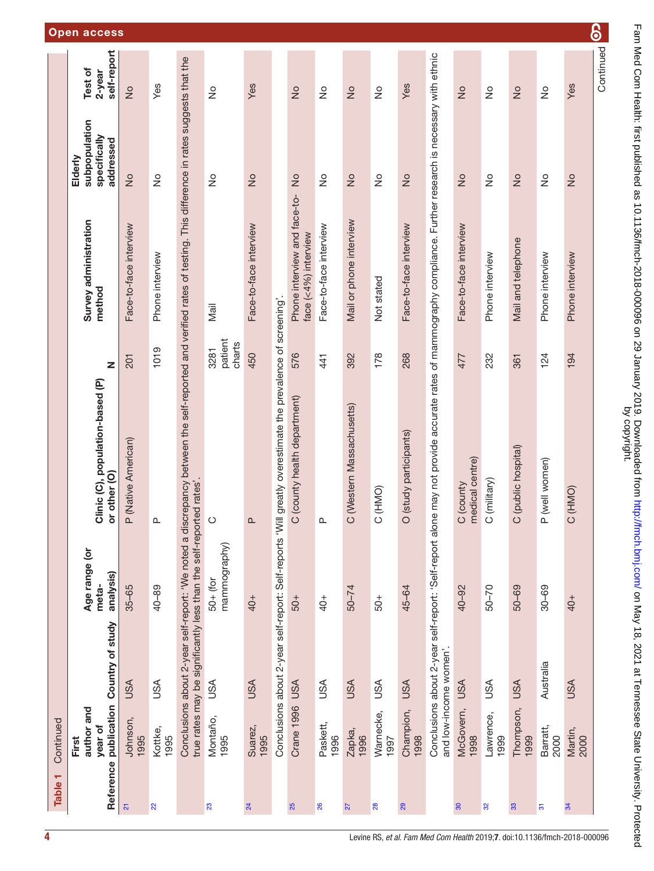|           | <b>Open access</b>                                                       |                                |                               |                                                                                                                                                                   |                                |                               |                                                          |                                                      |                                |                                    |                          |                                 |                                                                                                                                                              |                                 |                            |                                 |                               | ၆                             |           |
|-----------|--------------------------------------------------------------------------|--------------------------------|-------------------------------|-------------------------------------------------------------------------------------------------------------------------------------------------------------------|--------------------------------|-------------------------------|----------------------------------------------------------|------------------------------------------------------|--------------------------------|------------------------------------|--------------------------|---------------------------------|--------------------------------------------------------------------------------------------------------------------------------------------------------------|---------------------------------|----------------------------|---------------------------------|-------------------------------|-------------------------------|-----------|
|           | self-report<br>Test of<br>2-year                                         | $\geq$                         | Yes                           |                                                                                                                                                                   | $\stackrel{\circ}{\simeq}$     | Yes                           |                                                          | $\frac{1}{2}$                                        | $\stackrel{\circ}{\succeq}$    | $\frac{1}{2}$                      | $\frac{1}{2}$            | Yes                             |                                                                                                                                                              | $\frac{1}{2}$                   | $\stackrel{\circ}{\simeq}$ | $\frac{1}{2}$                   | $\stackrel{\circ}{\simeq}$    | Yes                           | Continued |
|           | subpopulation<br>specifically<br>addressed<br>Elderly                    | $\frac{1}{2}$                  | $\frac{1}{2}$                 |                                                                                                                                                                   | $\frac{1}{2}$                  | $\frac{1}{2}$                 |                                                          | $\frac{1}{2}$                                        | $\frac{1}{2}$                  | $\frac{1}{2}$                      | $\frac{1}{2}$            | $\frac{1}{2}$                   |                                                                                                                                                              | $\stackrel{\circ}{\simeq}$      | $\stackrel{\circ}{\simeq}$ | $\frac{1}{2}$                   | $\frac{1}{2}$                 | $\frac{\circ}{\sim}$          |           |
|           | Survey administration<br>method                                          | Face-to-face interview         | Phone interview               |                                                                                                                                                                   | Mail                           | Face-to-face interview        |                                                          | Phone interview and face-to-<br>face (<4%) interview | Face-to-face interview         | Mail or phone interview            | Not stated               | Face-to-face interview          |                                                                                                                                                              | Face-to-face interview          | Phone interview            | Mail and telephone              | Phone interview               | Phone interview               |           |
|           | $\mathbf{z}$                                                             | 201                            | 1019                          |                                                                                                                                                                   | patient<br>charts<br>3281      | 450                           |                                                          | 576                                                  | 441                            | 392                                | 178                      | 268                             |                                                                                                                                                              | 477                             | 232                        | 361                             | 124                           | 194                           |           |
|           | Clinic (C), population-based (P)<br>or other (O)                         | (Native American)<br>$\alpha$  | $\mathbf{\underline{\alpha}}$ | Conclusions about 2-year self-report: 'We noted a discrepancy between the self-reported and verified rates of testing. This difference in rates suggests that the | $\circ$                        | $\Omega$                      | greatly overestimate the prevalence of screening'.       | (county health department)<br>$\circ$                | $\Delta$                       | (Western Massachusetts)<br>$\circ$ | (HMO)<br>$\circ$         | (study participants)<br>$\circ$ | Conclusions about 2-year self-report: 'Self-report alone may not provide accurate rates of mammography compliance. Further research is necessary with ethnic | medical centre)<br>C (county    | (military)<br>$\circ$      | (public hospital)<br>$\circ$    | (well women)<br>$\Delta$      | (HMO)<br>$\circ$              |           |
|           | Age range (or<br>analysis)<br>meta-                                      | $35 - 65$                      | $40 - 89$                     |                                                                                                                                                                   | mammography)<br>$50 + (for$    | 40+                           |                                                          | $-05$                                                | $^{+0+}$                       | $50 - 74$                          | $-0.5$                   | 45-64                           |                                                                                                                                                              | 40-92                           | $50 - 70$                  | $50 - 69$                       | $30 - 69$                     | $40+$                         |           |
| Continued | Reference publication Country of study<br>author and<br>year of<br>First | <b>USA</b><br>Johnson,<br>1995 | <b>ASU</b><br>Kottke,<br>1995 | true rates may be significantly less than the self-reported rates'                                                                                                | <b>USA</b><br>Montaño,<br>1995 | <b>USA</b><br>Suarez,<br>1995 | Conclusions about 2-year self-report: Self-reports 'Will | Crane 1996 USA                                       | <b>ASU</b><br>Paskett,<br>1996 | <b>USA</b><br>Zapka,<br>1996       | USA<br>Warnecke,<br>1997 | <b>USA</b><br>Champion,<br>1998 | and low-income women'.                                                                                                                                       | <b>USA</b><br>McGovern,<br>1998 | USA<br>Lawrence,<br>1999   | <b>USA</b><br>Thompson,<br>1999 | Australia<br>Barratt,<br>2000 | <b>USA</b><br>Martin,<br>2000 |           |
| Table 1   |                                                                          | $\overline{\mathbf{S}}$        | $\overline{2}$                |                                                                                                                                                                   | 23                             | $\overline{24}$               |                                                          | 25                                                   | 26                             | 27                                 | 28                       | 29                              |                                                                                                                                                              | $\overline{30}$                 | $\pmb{\mathcal{S}}$        | $33$                            | $\overline{\mathfrak{S}}$     | 34                            |           |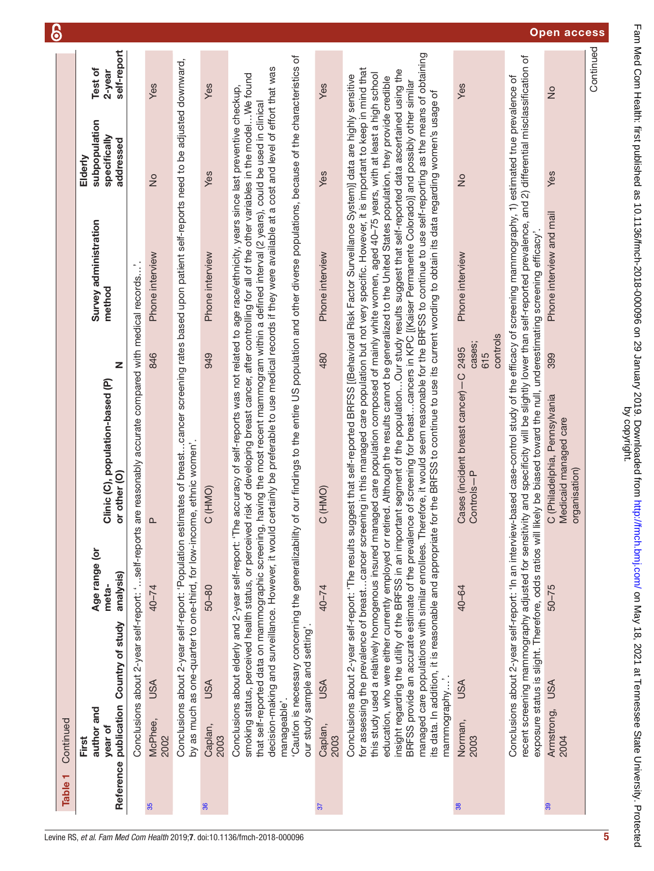| Table <sub>1</sub> | Continued                                                                                                                                                                                                                 |                                     |                                                                                                                                                                                                                                                                                                                                                                                                                                                                                                                                                                                                                                                                                                                                                                                                                                                                                                                                                                                                                                                                                                                                                                                                                                                                                                             |                           |                                 |                                                       |                                  | 6                  |
|--------------------|---------------------------------------------------------------------------------------------------------------------------------------------------------------------------------------------------------------------------|-------------------------------------|-------------------------------------------------------------------------------------------------------------------------------------------------------------------------------------------------------------------------------------------------------------------------------------------------------------------------------------------------------------------------------------------------------------------------------------------------------------------------------------------------------------------------------------------------------------------------------------------------------------------------------------------------------------------------------------------------------------------------------------------------------------------------------------------------------------------------------------------------------------------------------------------------------------------------------------------------------------------------------------------------------------------------------------------------------------------------------------------------------------------------------------------------------------------------------------------------------------------------------------------------------------------------------------------------------------|---------------------------|---------------------------------|-------------------------------------------------------|----------------------------------|--------------------|
|                    | Reference publication Country of study<br>author and<br>year of<br>First                                                                                                                                                  | Age range (or<br>analysis)<br>meta- | Clinic (C), population-based (P)<br>or other (O)                                                                                                                                                                                                                                                                                                                                                                                                                                                                                                                                                                                                                                                                                                                                                                                                                                                                                                                                                                                                                                                                                                                                                                                                                                                            | Z                         | Survey administration<br>method | subpopulation<br>specifically<br>addressed<br>Elderly | self-report<br>Test of<br>2-year |                    |
|                    |                                                                                                                                                                                                                           |                                     | Conclusions about 2-year self-report: 'self-reports are reasonably accurate compared with medical records'.                                                                                                                                                                                                                                                                                                                                                                                                                                                                                                                                                                                                                                                                                                                                                                                                                                                                                                                                                                                                                                                                                                                                                                                                 |                           |                                 |                                                       |                                  |                    |
|                    | <b>USA</b><br>McPhee,<br>2002                                                                                                                                                                                             | $40 - 74$                           | <u>ո</u>                                                                                                                                                                                                                                                                                                                                                                                                                                                                                                                                                                                                                                                                                                                                                                                                                                                                                                                                                                                                                                                                                                                                                                                                                                                                                                    | 846                       | Phone interview                 | $\frac{1}{2}$                                         | Yes                              |                    |
|                    | by as much as one-quarter to one-third, for low-income, ethnic women'.                                                                                                                                                    |                                     | Conclusions about 2-year self-report: 'Population estimates of breast…cancer screening rates based upon patient self-reports need to be adjusted downward,                                                                                                                                                                                                                                                                                                                                                                                                                                                                                                                                                                                                                                                                                                                                                                                                                                                                                                                                                                                                                                                                                                                                                  |                           |                                 |                                                       |                                  |                    |
|                    | <b>USA</b><br>Caplan,<br>2003                                                                                                                                                                                             | $50 - 80$                           | C (HMO)                                                                                                                                                                                                                                                                                                                                                                                                                                                                                                                                                                                                                                                                                                                                                                                                                                                                                                                                                                                                                                                                                                                                                                                                                                                                                                     | 949                       | Phone interview                 | Yes                                                   | Yes                              |                    |
|                    | Conclusions about elderly and 2-year self-report: 'The<br>decision-making and surveillance. However, it would c<br>smoking status, perceived health status, or perceived<br>our study sample and setting'<br>manageable'. |                                     | 'Caution is necessary concerning the generalizability of our findings to the entire US population and other diverse populations, because of the characteristics of<br>ertainly be preferable to use medical records if they were available at a cost and level of effort that was<br>risk of developing breast cancer, after controlling for all of the other variables in the modelWe found<br>accuracy of self-reports was not related to age race/ethnicity, years since last preventive checkup,<br>that self-reported data on mammographic screening, having the most recent mammogram within a defined interval (2 years), could be used in clinical                                                                                                                                                                                                                                                                                                                                                                                                                                                                                                                                                                                                                                                  |                           |                                 |                                                       |                                  |                    |
|                    | <b>USA</b><br>Caplan,<br>2003                                                                                                                                                                                             | 40-74                               | C (HMO)                                                                                                                                                                                                                                                                                                                                                                                                                                                                                                                                                                                                                                                                                                                                                                                                                                                                                                                                                                                                                                                                                                                                                                                                                                                                                                     | 480                       | Phone interview                 | Yes                                                   | Yes                              |                    |
|                    | mammography'.                                                                                                                                                                                                             |                                     | managed care populations with similar enrollees. Therefore, it would seem reasonable for the BRFSS to continue to use self-reporting as the means of obtaining<br>for assessing the prevalence of breast…cancer screening in this managed care population but not very specific. However, it is important to keep in mind that<br>insight regarding the utility of the BRFSS in an important segment of the populationOur study results suggest that self-reported data ascertained using the<br>this study used a relatively homogenous insured managed care population composed of mainly white women, aged 40-75 years, with at least a high school<br>Conclusions about 2-year self-report: 'The results suggest that self-reported BRFSS [(Behavioral Risk Factor Surveillance System)] data are highly sensitive<br>education, who were either currently employed or retired. Although the results cannot be generalized to the United States population, they provide credible<br>BRFSS provide an accurate estimate of the prevalence of screening for breastcancers in KPC [(Kaiser Permanente Colorado)] and possibly other similar<br>its data. In addition, it is reasonable and appropriate for the BRFSS to continue to use its current wording to obtain its data regarding women's usage of |                           |                                 |                                                       |                                  |                    |
|                    | <b>USA</b><br>Norman,<br>2003                                                                                                                                                                                             | 40-64                               | Cases (incident breast cancer)-C 2495<br>Controls-P                                                                                                                                                                                                                                                                                                                                                                                                                                                                                                                                                                                                                                                                                                                                                                                                                                                                                                                                                                                                                                                                                                                                                                                                                                                         | controls<br>cases;<br>615 | Phone interview                 | $\frac{1}{2}$                                         | Yes                              |                    |
|                    |                                                                                                                                                                                                                           |                                     | recent screening mammography adjusted for sensitivity and specificity will be slightly lower than self-reported prevalence, and 2) differential misclassification of<br>Conclusions about 2-year self-report: 'In an interview-based case-control study of the efficacy of screening mammography, 1) estimated true prevalence of<br>exposure status is slight. Therefore, odds ratios will likely be biased toward the null, underestimating screening efficacy'                                                                                                                                                                                                                                                                                                                                                                                                                                                                                                                                                                                                                                                                                                                                                                                                                                           |                           |                                 |                                                       |                                  |                    |
|                    | Armstrong, USA<br>2004                                                                                                                                                                                                    | $50 - 75$                           | C (Philadelphia, Pennsylvania<br>Medicaid managed care<br>organisation)                                                                                                                                                                                                                                                                                                                                                                                                                                                                                                                                                                                                                                                                                                                                                                                                                                                                                                                                                                                                                                                                                                                                                                                                                                     | 399                       | Phone interview and mail        | Yes                                                   | $\frac{1}{2}$                    | <b>Open access</b> |
|                    |                                                                                                                                                                                                                           |                                     |                                                                                                                                                                                                                                                                                                                                                                                                                                                                                                                                                                                                                                                                                                                                                                                                                                                                                                                                                                                                                                                                                                                                                                                                                                                                                                             |                           |                                 |                                                       | Continued                        |                    |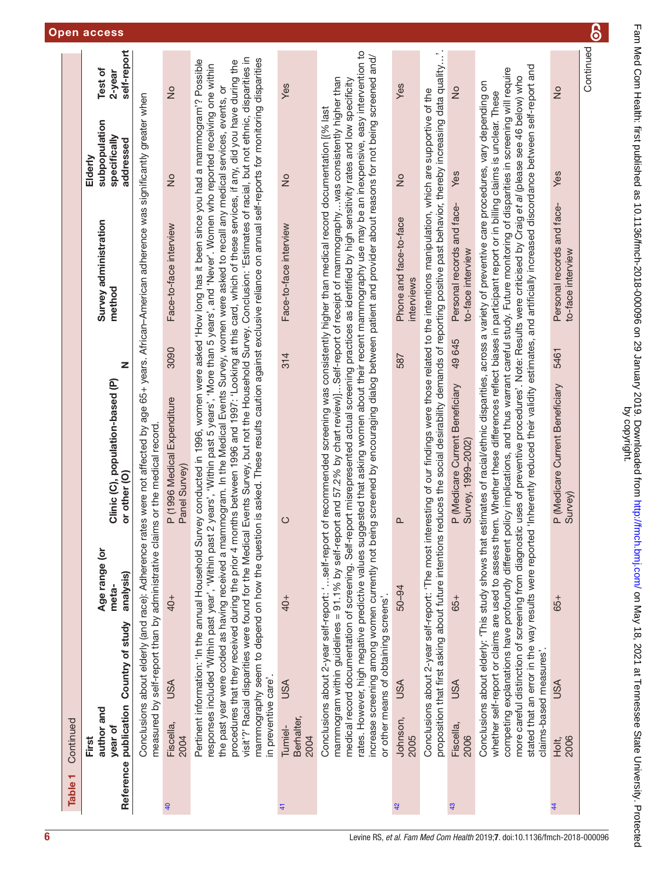| Table <sub>1</sub> | Continued                      |                                                                                                              |                                     |                                                                                                                                                                                                                                                                                                                                                                                                                                                                                                                                                                                                                                                                                                                                                                                                                                                                                                                                    |       |                                                 |                                                       |                                  |
|--------------------|--------------------------------|--------------------------------------------------------------------------------------------------------------|-------------------------------------|------------------------------------------------------------------------------------------------------------------------------------------------------------------------------------------------------------------------------------------------------------------------------------------------------------------------------------------------------------------------------------------------------------------------------------------------------------------------------------------------------------------------------------------------------------------------------------------------------------------------------------------------------------------------------------------------------------------------------------------------------------------------------------------------------------------------------------------------------------------------------------------------------------------------------------|-------|-------------------------------------------------|-------------------------------------------------------|----------------------------------|
| Reference          | author and<br>year of<br>First | publication Country of study                                                                                 | Age range (or<br>analysis)<br>meta- | Clinic (C), population-based (P)<br>or other (O)                                                                                                                                                                                                                                                                                                                                                                                                                                                                                                                                                                                                                                                                                                                                                                                                                                                                                   | Z     | Survey administration<br>method                 | subpopulation<br>specifically<br>addressed<br>Elderly | self-report<br>Test of<br>2-year |
|                    |                                |                                                                                                              |                                     | Conclusions about elderly (and race): Adherence rates were not affected by age 65+ years. African-American adherence was significantly greater when<br>measured by self-report than by administrative claims or the medical record                                                                                                                                                                                                                                                                                                                                                                                                                                                                                                                                                                                                                                                                                                 |       |                                                 |                                                       |                                  |
| $\overline{a}$     | Fiscella,<br>2004              | <b>USA</b>                                                                                                   | $40+$                               | P (1996 Medical Expenditure<br>Panel Survey)                                                                                                                                                                                                                                                                                                                                                                                                                                                                                                                                                                                                                                                                                                                                                                                                                                                                                       | 3090  | Face-to-face interview                          | $\frac{1}{2}$                                         | $\frac{1}{2}$                    |
|                    | in preventive care'.           | responses included 'Within past year', 'Within past                                                          |                                     | visit'?' Racial disparities were found for the Medical Events Survey, but not the Household Survey. Conclusion: 'Estimates of racial, but not ethnic, disparities in<br>mammography seem to depend on how the question is asked. These results caution against exclusive reliance on annual self-reports for monitoring disparities<br>Pertinent information: 'In the annual Household Survey conducted in 1996, women were asked 'How long has it been since you had a mammogram'? Possible<br>procedures that they received during the prior 4 months between 1996 and 1997: 'Looking at this card, which of these services, if any, did you have during the<br>2 years', 'Within past 5 years', 'More than 5 years', and 'Never'. Women who reported receiving one within<br>the past year were coded as having received a mammogram. In the Medical Events Survey, women were asked to recall any medical services, events, or |       |                                                 |                                                       |                                  |
| $\ddot{4}$         | Berhalter,<br>Tumiel-<br>2004  | <b>USA</b>                                                                                                   | 40+                                 | $\circ$                                                                                                                                                                                                                                                                                                                                                                                                                                                                                                                                                                                                                                                                                                                                                                                                                                                                                                                            | 314   | Face-to-face interview                          | $\frac{1}{2}$                                         | Yes                              |
|                    |                                | Conclusions about 2-year self-report: 'self-repor<br>or other means of obtaining screens'                    |                                     | rates. However, high negative predictive values suggested that asking women about their recent mammography use may be an inexpensive, easy intervention to<br>increase screening among women currently not being screened by encouraging dialog between patient and provider about reasons for not being screened and/<br>mammogram within guidelines = 91.1% by self-report and 57.2% by chart review)]Self-report of receipt of mammographywas consistently higher than<br>medical record documentation of screening. Self-report misrepresented actual screening practices as identified by high sensitivity rates and low specificity<br>t of recommended screening was consistently higher than medical record documentation [[% last                                                                                                                                                                                         |       |                                                 |                                                       |                                  |
| 42                 | Johnson,<br>2005               | <b>USA</b>                                                                                                   | $50 - 94$                           | ൨                                                                                                                                                                                                                                                                                                                                                                                                                                                                                                                                                                                                                                                                                                                                                                                                                                                                                                                                  | 587   | Phone and face-to-face<br>interviews            | $\frac{1}{2}$                                         | Yes                              |
|                    |                                | Conclusions about 2-year self-report: 'The most int<br>proposition that first asking about future intentions |                                     | reduces the social desirability demands of reporting positive past behavior, thereby increasing data quality'<br>eresting of our findings were those related to the intentions manipulation, which are supportive of the                                                                                                                                                                                                                                                                                                                                                                                                                                                                                                                                                                                                                                                                                                           |       |                                                 |                                                       |                                  |
| 43                 | Fiscella,<br>2006              | <b>USA</b>                                                                                                   | 65+                                 | P (Medicare Current Beneficiary<br>Survey, 1999-2002)                                                                                                                                                                                                                                                                                                                                                                                                                                                                                                                                                                                                                                                                                                                                                                                                                                                                              | 49645 | Personal records and face-<br>to-face interview | Yes                                                   | $\frac{1}{2}$                    |
|                    |                                | claims-based measures'.                                                                                      |                                     | stated that an error in the way results were reported 'Inherently reduced their validity estimates, and artificially increased discordance between self-report and<br>competing explanations have profoundly different policy implications, and thus warrant careful study. Future monitoring of disparities in screening will require<br>more careful distinction of screening from diagnostic uses of preventive procedures'. Note: Results were criticised by Craig et al (please see 46 below) who<br>Conclusions about elderly: 'This study shows that estimates of racial/ethnic disparities, across a variety of preventive care procedures, vary depending on<br>whether self-report or claims are used to assess them. Whether these differences reflect biases in participant report or in billing claims is unclear. These                                                                                              |       |                                                 |                                                       |                                  |
| $\overline{4}$     | 2006<br>Holt,                  | <b>USA</b>                                                                                                   | 65+                                 | P (Medicare Current Beneficiary<br>Survey)                                                                                                                                                                                                                                                                                                                                                                                                                                                                                                                                                                                                                                                                                                                                                                                                                                                                                         | 5461  | Personal records and face-<br>to-face interview | Yes                                                   | $\frac{1}{2}$                    |
|                    |                                |                                                                                                              |                                     |                                                                                                                                                                                                                                                                                                                                                                                                                                                                                                                                                                                                                                                                                                                                                                                                                                                                                                                                    |       |                                                 |                                                       | Continued                        |

၆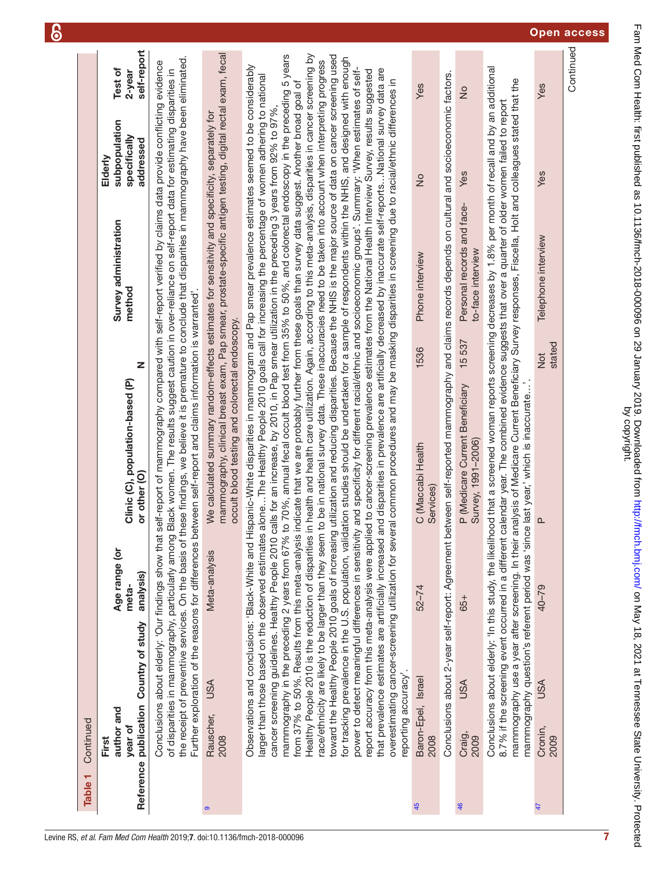| ٣<br><b>Table</b> | Continued                                                                                                                                                                                                                                                                                 |                                     |                                                                                                                                                                                                                                                                                                                                                                                                                                                                                                                                                                                                                                                                                                                                                                                                                                                                                                                                                                                                                                                                                                                                                                                                                                                                                                                                                                                                                                                                                                                                                                                                                                                                                                                                                                                                                                                                                     |                                                          |                                      |               |                                  |
|-------------------|-------------------------------------------------------------------------------------------------------------------------------------------------------------------------------------------------------------------------------------------------------------------------------------------|-------------------------------------|-------------------------------------------------------------------------------------------------------------------------------------------------------------------------------------------------------------------------------------------------------------------------------------------------------------------------------------------------------------------------------------------------------------------------------------------------------------------------------------------------------------------------------------------------------------------------------------------------------------------------------------------------------------------------------------------------------------------------------------------------------------------------------------------------------------------------------------------------------------------------------------------------------------------------------------------------------------------------------------------------------------------------------------------------------------------------------------------------------------------------------------------------------------------------------------------------------------------------------------------------------------------------------------------------------------------------------------------------------------------------------------------------------------------------------------------------------------------------------------------------------------------------------------------------------------------------------------------------------------------------------------------------------------------------------------------------------------------------------------------------------------------------------------------------------------------------------------------------------------------------------------|----------------------------------------------------------|--------------------------------------|---------------|----------------------------------|
|                   | Reference publication Country of study<br>author and<br>year of<br>First                                                                                                                                                                                                                  | Age range (or<br>analysis)<br>meta- | Z<br>Clinic (C), population-based (P)<br>or other (O)                                                                                                                                                                                                                                                                                                                                                                                                                                                                                                                                                                                                                                                                                                                                                                                                                                                                                                                                                                                                                                                                                                                                                                                                                                                                                                                                                                                                                                                                                                                                                                                                                                                                                                                                                                                                                               | Survey administration<br>method                          | specifically<br>addressed<br>Elderly | subpopulation | self-report<br>Test of<br>2-year |
|                   | Conclusions about elderly: 'Our findings show that<br>of disparities in mammography, particularly among                                                                                                                                                                                   |                                     | the receipt of preventive services. On the basis of these findings, we believe it is premature to conclude that disparities in mammography have been eliminated.<br>self-report of mammography compared with self-report verified by claims data provide conflicting evidence<br>Black women. The results suggest caution in over-reliance on self-report data for estimating disparities in<br>Further exploration of the reasons for differences between self-report and claims information is warranted'                                                                                                                                                                                                                                                                                                                                                                                                                                                                                                                                                                                                                                                                                                                                                                                                                                                                                                                                                                                                                                                                                                                                                                                                                                                                                                                                                                         |                                                          |                                      |               |                                  |
| $\bullet$         | <b>USA</b><br>Rauscher,<br>2008                                                                                                                                                                                                                                                           | Meta-analysis                       | mammography, clinical breast exam, Pap smear, prostate-specific antigen testing, digital rectal exam, fecal<br>We calculated summary random-effects estimates for sensitivity and specificity, separately for<br>occult blood testing and colorectal endoscopy.                                                                                                                                                                                                                                                                                                                                                                                                                                                                                                                                                                                                                                                                                                                                                                                                                                                                                                                                                                                                                                                                                                                                                                                                                                                                                                                                                                                                                                                                                                                                                                                                                     |                                                          |                                      |               |                                  |
|                   | larger than those based on the observed estimates<br>from 37% to 50%. Results from this meta-analysis<br>Healthy People 2010 is the reduction of disparities<br>Observations and conclusions: 'Black-White and H<br>mammography in the preceding 2 years from 67%<br>reporting accuracy'. |                                     | n health and health care utilization. Again, according to this meta-analysis, disparities in cancer screening by<br>to 70%, annual fecal occult blood test from 35% to 50%, and colorectal endoscopy in the preceding 5 years<br>toward the Healthy People 2010 goals of increasing utilization and reducing disparities. Because the NHIS is the major source of data on cancer screening used<br>for tracking prevalence in the U.S. population, validation studies should be undertaken for a sample of respondents within the NHIS, and designed with enough<br>race/ethnicity are likely to be larger than they seem to be in national survey data. These inaccuracies need to be taken into account when interpreting progress<br>spanic-White disparities in mammogram and Pap smear prevalence estimates seemed to be considerably<br>that prevalence estimates are artificially increased and disparities in prevalence are artificially decreased by inaccurate self-reportsNational survey data are<br>power to detect meaningful differences in sensitivity and specificity for different racial/ethnic and socioeconomic groups'. Summary: 'When estimates of self-<br>report accuracy from this meta-analysis were applied to cancer-screening prevalence estimates from the National Health Interview Survey, results suggested<br>aloneThe Healthy People 2010 goals call for increasing the percentage of women adhering to national<br>overestimating cancer-screening utilization for several common procedures and may be masking disparities in screening due to racial/ethnic differences in<br>indicate that we are probably further from these goals than survey data suggest. Another broad goal of<br>cancer screening guidelines. Healthy People 2010 calls for an increase, by 2010, in Pap smear utilization in the preceding 3 years from 92% to 97%, |                                                          |                                      |               |                                  |
| 45                | Baron-Epel, Israel<br>2008                                                                                                                                                                                                                                                                | $52 - 74$                           | 1536<br>C (Maccabi Health<br>Services)                                                                                                                                                                                                                                                                                                                                                                                                                                                                                                                                                                                                                                                                                                                                                                                                                                                                                                                                                                                                                                                                                                                                                                                                                                                                                                                                                                                                                                                                                                                                                                                                                                                                                                                                                                                                                                              | Phone interview                                          | $\frac{1}{2}$                        | Yes           |                                  |
|                   |                                                                                                                                                                                                                                                                                           |                                     | Conclusions about 2-year self-report: Agreement between self-reported mammography and claims records depends on cultural and socioeconomic factors.                                                                                                                                                                                                                                                                                                                                                                                                                                                                                                                                                                                                                                                                                                                                                                                                                                                                                                                                                                                                                                                                                                                                                                                                                                                                                                                                                                                                                                                                                                                                                                                                                                                                                                                                 |                                                          |                                      |               |                                  |
| 46                | USA<br>Craig,<br>2009                                                                                                                                                                                                                                                                     | 65+                                 | P (Medicare Current Beneficiary<br>Survey, 1991-2006)                                                                                                                                                                                                                                                                                                                                                                                                                                                                                                                                                                                                                                                                                                                                                                                                                                                                                                                                                                                                                                                                                                                                                                                                                                                                                                                                                                                                                                                                                                                                                                                                                                                                                                                                                                                                                               | Personal records and face-<br>to-face interview<br>15537 | Yes                                  | $\frac{1}{2}$ |                                  |
|                   |                                                                                                                                                                                                                                                                                           |                                     | Conclusions about elderly: 'In this study, the likelihood that a screened woman reports screening decreases by 1.8% per month of recall and by an additional<br>mammography use a year after screening. In their analysis of Medicare Current Beneficiary Survey responses, Fiscella, Holt and colleagues stated that the<br>8.7% if the screening event occurred in a different calendar year. The combined evidence suggests that over a quarter of older women failed to report<br>mammography question's referent period was 'since last year,' which is inaccurate                                                                                                                                                                                                                                                                                                                                                                                                                                                                                                                                                                                                                                                                                                                                                                                                                                                                                                                                                                                                                                                                                                                                                                                                                                                                                                             |                                                          |                                      |               |                                  |
| $\ddot{4}$        | USA<br>Cronin,<br>2009                                                                                                                                                                                                                                                                    | $40 - 79$                           | $\frac{1}{2}$<br>$\mathbf{\Omega}$                                                                                                                                                                                                                                                                                                                                                                                                                                                                                                                                                                                                                                                                                                                                                                                                                                                                                                                                                                                                                                                                                                                                                                                                                                                                                                                                                                                                                                                                                                                                                                                                                                                                                                                                                                                                                                                  | Telephone interview<br>stated                            | Yes                                  | Yes           |                                  |
|                   |                                                                                                                                                                                                                                                                                           |                                     |                                                                                                                                                                                                                                                                                                                                                                                                                                                                                                                                                                                                                                                                                                                                                                                                                                                                                                                                                                                                                                                                                                                                                                                                                                                                                                                                                                                                                                                                                                                                                                                                                                                                                                                                                                                                                                                                                     |                                                          |                                      |               | Continued                        |

 $\epsilon$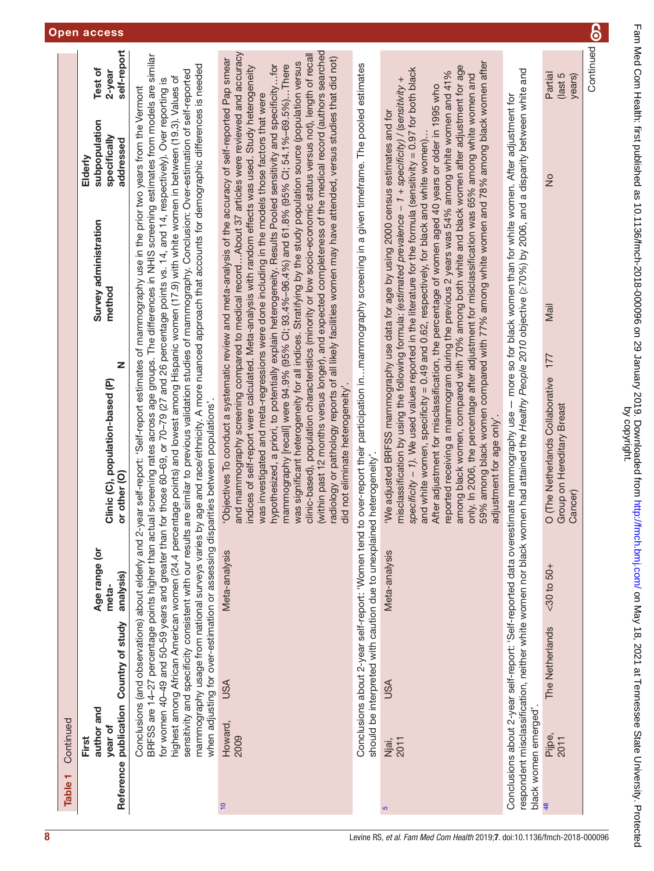| ٣<br><b>Table</b> | Continued                      |                                                                      |                                     |                                                                                                                                                                                                                                                                                                                                                                                                                                                                                                                                                                                                                                                                                                                                                                                                                                                                                                                                                                                                                                                                                                                                            |                                 |                                                       |                                  |
|-------------------|--------------------------------|----------------------------------------------------------------------|-------------------------------------|--------------------------------------------------------------------------------------------------------------------------------------------------------------------------------------------------------------------------------------------------------------------------------------------------------------------------------------------------------------------------------------------------------------------------------------------------------------------------------------------------------------------------------------------------------------------------------------------------------------------------------------------------------------------------------------------------------------------------------------------------------------------------------------------------------------------------------------------------------------------------------------------------------------------------------------------------------------------------------------------------------------------------------------------------------------------------------------------------------------------------------------------|---------------------------------|-------------------------------------------------------|----------------------------------|
|                   | author and<br>year of<br>First | Reference publication Country of study                               | Age range (or<br>analysis)<br>meta- | Z<br>Clinic (C), population-based (P)<br>or other (O)                                                                                                                                                                                                                                                                                                                                                                                                                                                                                                                                                                                                                                                                                                                                                                                                                                                                                                                                                                                                                                                                                      | Survey administration<br>method | subpopulation<br>specifically<br>addressed<br>Elderly | self-report<br>Test of<br>2-year |
|                   |                                | Conclusions (and observations) about elderly and 2                   |                                     | BRFSS are 14-27 percentage points higher than actual screening rates across age groups. The differences in NHIS screening estimates from models are similar<br>mammography usage from national surveys varies by age and race/ethnicity. A more nuanced approach that accounts for demographic differences is needed<br>sensitivity and specificity consistent with our results are similar to previous validation studies of mammography. Conclusion: Over-estimation of self-reported<br>highest among African American women (24.4 percentage points) and lowest among Hispanic women (17.9) with white women in between (19.3). Values of<br>for women 449 and 50-59 years and greater than for those 60-69, or 70-79 (27 and 26 percentage points vs. 14, and 14, respectively). Over reporting is<br>-year self-report: 'Self-report estimates of mammography use in the prior two years from the Vermont<br>when adjusting for over-estimation or assessing disparities between populations'                                                                                                                                        |                                 |                                                       |                                  |
| $\frac{1}{2}$     | Howard,<br>2009                | <b>USA</b>                                                           | Meta-analysis                       | (within past 12 months versus longer), and expected completeness of the medical record (authors searched<br>and mammography screening compared to medical recordAbout 37 articles were reviewed and accuracy<br>clinic-based), population characteristics (minority or low socio-economic status versus not), length of recall<br>adiology or pathology reports of all likely facilities women may have attended, versus studies that did not)<br>'Objectives To conduct a systematic review and meta-analysis of the accuracy of self-reported Pap smear<br>was significant heterogeneity for all indices. Stratifying by the study population source (population versus<br>ndices of self-report were calculated. Meta-analysis with random effects was used. Study heterogeneity<br>hypothesized, a priori, to potentially explain heterogeneity. Results Pooled sensitivity and specificity…for<br>mammography [recall] were 94.9% (95% Cl; 93.4%–96.4%) and 61.8% (95% Cl; 54.1%–69.5%)…There<br>was investigated and meta-regressions were done including in the models those factors that were<br>did not eliminate heterogeneity'. |                                 |                                                       |                                  |
|                   |                                | should be interpreted with caution due to unexplained heterogeneity' |                                     | Conclusions about 2-year self-report: 'Women tend to over-report their participation inmammography screening in a given timeframe. The pooled estimates                                                                                                                                                                                                                                                                                                                                                                                                                                                                                                                                                                                                                                                                                                                                                                                                                                                                                                                                                                                    |                                 |                                                       |                                  |
| 5                 | 2011<br>Njai,                  | <b>USA</b>                                                           | Meta-analysis                       | 59% among black women compared with 77% among white women and 78% among black women after<br>among black women, compared with 70% among both white and black women after adjustment for age<br>specificity - 1). We used values reported in the literature for the formula (sensitivity = 0.97 for both black<br>reported receiving a mammogram during the previous 2 years was 54% among white women and 41%<br>only. In 2006, the percentage after adjustment for misclassification was 65% among white women and<br>misclassification by using the following formula: (estimated prevalence - 1 + specificity) / (sensitivity +<br>After adjustment for misclassification, the percentage of women aged 40 years or older in 1995 who<br>'We adjusted BRFSS mammography use data for age by using 2000 census estimates and for<br>and white women, specificity = 0.49 and 0.62, respectively, for black and white women).<br>adjustment for age only'.                                                                                                                                                                                 |                                 |                                                       |                                  |
|                   | black women emerged'           | Conclusions about 2-year self-report: 'Self-reported data overe      |                                     | respondent misclassification, neither white women nor black women had attained the Healthy People 2010 objective (≥70%) by 2006, and a disparity between white and<br>stimate mammography use - more so for black women than for white women. After adjustment for                                                                                                                                                                                                                                                                                                                                                                                                                                                                                                                                                                                                                                                                                                                                                                                                                                                                         |                                 |                                                       |                                  |
|                   | Pijpe,<br>2011                 | The Netherlands                                                      | $50 + 50 +$                         | O (The Netherlands Collaborative 177<br>Group on Hereditary Breast                                                                                                                                                                                                                                                                                                                                                                                                                                                                                                                                                                                                                                                                                                                                                                                                                                                                                                                                                                                                                                                                         | Mail                            | $\frac{1}{2}$                                         | Partial<br>(last 5               |

Cancer)

years)

Continued

Continued

8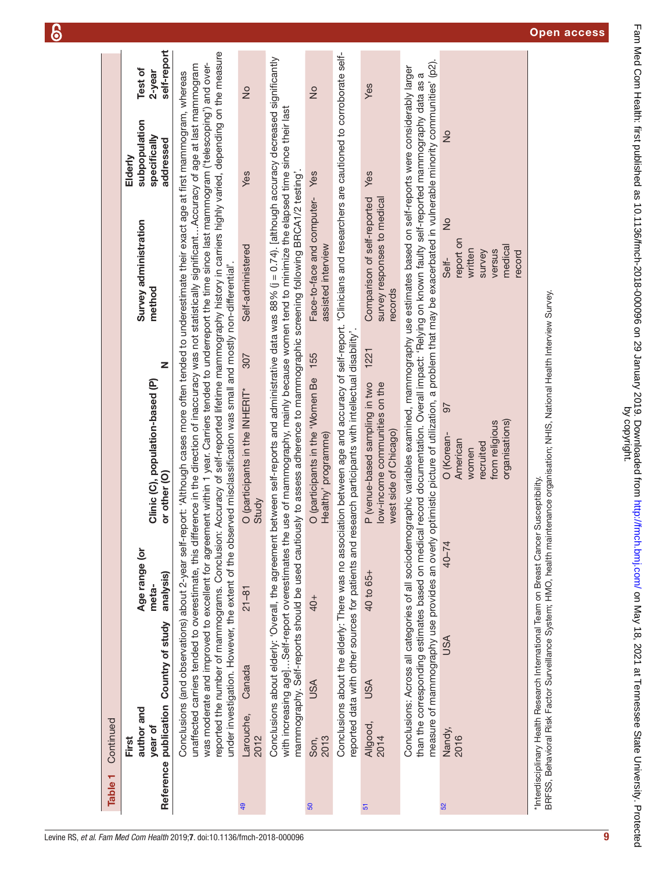| Table <sub>1</sub> | Continued                      |                                        |                                                                                        |                                                                                                                                                                                                                                                                                                                                                                                                                                                                                                                                                                                                                                                                                                                                                                           |                                                                                         |                                                       |                                  |
|--------------------|--------------------------------|----------------------------------------|----------------------------------------------------------------------------------------|---------------------------------------------------------------------------------------------------------------------------------------------------------------------------------------------------------------------------------------------------------------------------------------------------------------------------------------------------------------------------------------------------------------------------------------------------------------------------------------------------------------------------------------------------------------------------------------------------------------------------------------------------------------------------------------------------------------------------------------------------------------------------|-----------------------------------------------------------------------------------------|-------------------------------------------------------|----------------------------------|
|                    | author and<br>year of<br>First | Reference publication Country of study | Age range (or<br>analysis)<br>meta-                                                    | Z<br>Clinic (C), population-based (P)<br>or other (O)                                                                                                                                                                                                                                                                                                                                                                                                                                                                                                                                                                                                                                                                                                                     | Survey administration<br>method                                                         | subpopulation<br>specifically<br>addressed<br>Elderly | self-report<br>Test of<br>2-year |
|                    |                                |                                        |                                                                                        | reported the number of mammograms. Conclusion: Accuracy of self-reported lifetime mammography history in carriers highly varied, depending on the measure<br>was moderate and improved to excellent for agreement within 1 year. Carriers tended to underreport the time since last mammogram ('telescoping') and over-<br>unaffected carriers tended to overestimate, this difference in the direction of inaccuracy was not statistically significantAccuracy of age at last mammogram<br>Conclusions (and observations) about 2-year self-report: 'Although cases more often tended to underestimate their exact age at first mammogram, whereas<br>under investigation. However, the extent of the observed misclassification was small and mostly non-differential'. |                                                                                         |                                                       |                                  |
| 49                 | Larouche,<br>2012              | Canada                                 | $21 - 81$                                                                              | 307<br>O (participants in the INHERIT*<br>Study                                                                                                                                                                                                                                                                                                                                                                                                                                                                                                                                                                                                                                                                                                                           | Self-administered                                                                       | $\frac{1}{2}$<br>Yes                                  |                                  |
|                    |                                |                                        |                                                                                        | Conclusions about elderly: 'Overall, the agreement between self-reports and administrative data was 88% (j = 0.74). [although accuracy decreased significantly<br>with increasing age]Self-report overestimates the use of mammography, mainly because women tend to minimize the elapsed time since their last<br>mammography. Self-reports should be used cautiously to assess adherence to mammographic screening following BRCA1/2 testing'.                                                                                                                                                                                                                                                                                                                          |                                                                                         |                                                       |                                  |
| <b>GO</b>          | 2013<br>Son,                   | USA                                    | $40+$                                                                                  | O (participants in the 'Women Be 155<br>Healthy' programme)                                                                                                                                                                                                                                                                                                                                                                                                                                                                                                                                                                                                                                                                                                               | Face-to-face and computer- Yes<br>assisted interview                                    | $\frac{1}{2}$                                         |                                  |
|                    |                                |                                        |                                                                                        | Conclusions about the elderly: There was no association between age and accuracy of self-report. 'Clinicians and researchers are cautioned to corroborate self-<br>reported data with other sources for patients and research participants with intellectual disability'                                                                                                                                                                                                                                                                                                                                                                                                                                                                                                  |                                                                                         |                                                       |                                  |
| ${\bf 5}$          | Allgood,<br>2014               | <b>USA</b>                             | 40 to 65+                                                                              | 1221<br>P (venue-based sampling in two<br>low-income communities on the<br>west side of Chicago)                                                                                                                                                                                                                                                                                                                                                                                                                                                                                                                                                                                                                                                                          | Comparison of self-reported<br>survey responses to medical<br>records                   | Yes<br>Yes                                            |                                  |
|                    |                                |                                        | than the corresponding estimates based on medical                                      | measure of mammography use provides an overly optimistic picture of utilization, a problem that may be exacerbated in vulnerable minority communities' (p2).<br>Conclusions: Across all categories of all sociodemographic variables examined, mammography use estimates based on self-reports were considerably larger<br>record documentation. Overall impact: 'Relying on known faulty self-reported mammography data as a                                                                                                                                                                                                                                                                                                                                             |                                                                                         |                                                       |                                  |
| 52                 | Nandy,<br>2016                 | USA                                    | 40–74                                                                                  | $\overline{6}$<br>organisations)<br>from religious<br>O (Korean-<br>American<br>recruited<br>women                                                                                                                                                                                                                                                                                                                                                                                                                                                                                                                                                                                                                                                                        | $\frac{1}{2}$<br>report on<br>medical<br>written<br>versus<br>record<br>survey<br>Self- | $\frac{1}{2}$                                         |                                  |
|                    |                                |                                        | *Interdisciplinary Health Research International Team on Breast Cancer Susceptibility. | BRFSS, Behavioral Risk Factor Surveillance System; HMO, health maintenance organisation; NHIS, National Health Interview Survey.                                                                                                                                                                                                                                                                                                                                                                                                                                                                                                                                                                                                                                          |                                                                                         |                                                       |                                  |

 $\delta$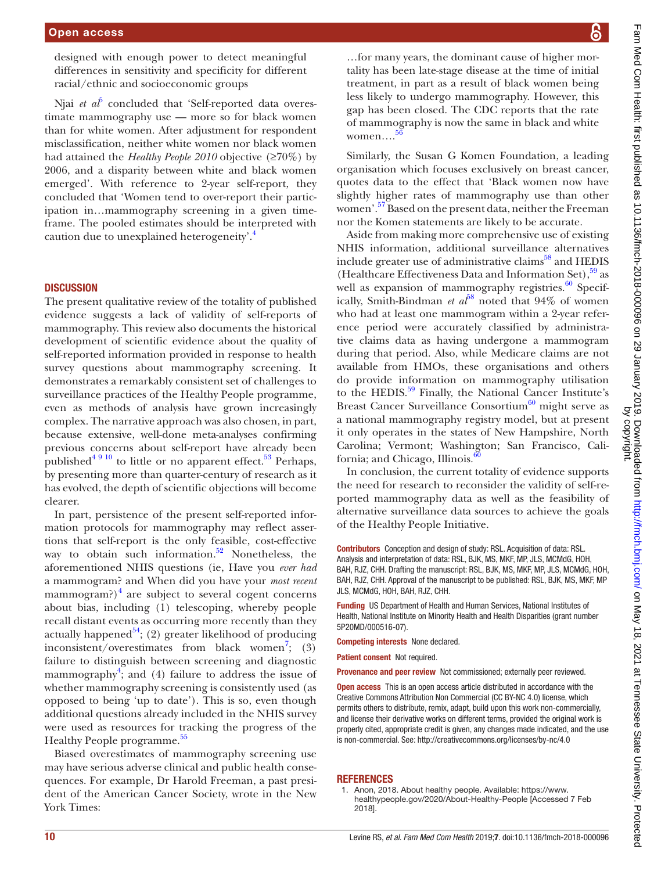designed with enough power to detect meaningful differences in sensitivity and specificity for different racial/ethnic and socioeconomic groups

Njai *et al*<sup>[5](#page-12-3)</sup> concluded that 'Self-reported data overestimate mammography use — more so for black women than for white women. After adjustment for respondent misclassification, neither white women nor black women had attained the *Healthy People 2010* objective (≥70%) by 2006, and a disparity between white and black women emerged'. With reference to 2-year self-report, they concluded that 'Women tend to over-report their participation in…mammography screening in a given timeframe. The pooled estimates should be interpreted with caution due to unexplained heterogeneity.<sup>[4](#page-12-2)</sup>

#### **DISCUSSION**

The present qualitative review of the totality of published evidence suggests a lack of validity of self-reports of mammography. This review also documents the historical development of scientific evidence about the quality of self-reported information provided in response to health survey questions about mammography screening. It demonstrates a remarkably consistent set of challenges to surveillance practices of the Healthy People programme, even as methods of analysis have grown increasingly complex. The narrative approach was also chosen, in part, because extensive, well-done meta-analyses confirming previous concerns about self-report have already been published<sup>[4 9 10](#page-12-2)</sup> to little or no apparent effect.<sup>53</sup> Perhaps, by presenting more than quarter-century of research as it has evolved, the depth of scientific objections will become clearer.

In part, persistence of the present self-reported information protocols for mammography may reflect assertions that self-report is the only feasible, cost-effective way to obtain such information. $52$  Nonetheless, the aforementioned NHIS questions (ie, Have you *ever had* a mammogram? and When did you have your *most recent* mammogram?) $<sup>4</sup>$  $<sup>4</sup>$  $<sup>4</sup>$  are subject to several cogent concerns</sup> about bias, including (1) telescoping, whereby people recall distant events as occurring more recently than they actually happened<sup>[54](#page-13-1)</sup>; (2) greater likelihood of producing inconsistent/overestimates from black women<sup>[7](#page-12-5)</sup>; (3) failure to distinguish between screening and diagnostic mammography<sup>[4](#page-12-2)</sup>; and (4) failure to address the issue of whether mammography screening is consistently used (as opposed to being 'up to date'). This is so, even though additional questions already included in the NHIS survey were used as resources for tracking the progress of the Healthy People programme.<sup>[55](#page-13-2)</sup>

Biased overestimates of mammography screening use may have serious adverse clinical and public health consequences. For example, Dr Harold Freeman, a past president of the American Cancer Society, wrote in the New York Times:

…for many years, the dominant cause of higher mortality has been late-stage disease at the time of initial treatment, in part as a result of black women being less likely to undergo mammography. However, this gap has been closed. The CDC reports that the rate of mammography is now the same in black and white women…. [56](#page-13-3)

Similarly, the Susan G Komen Foundation, a leading organisation which focuses exclusively on breast cancer, quotes data to the effect that 'Black women now have slightly higher rates of mammography use than other women'.<sup>57</sup> Based on the present data, neither the Freeman nor the Komen statements are likely to be accurate.

Aside from making more comprehensive use of existing NHIS information, additional surveillance alternatives include greater use of administrative claims $^{58}$  $^{58}$  $^{58}$  and HEDIS (Healthcare Effectiveness Data and Information Set),  $59$  as well as expansion of mammography registries. $60$  Specifically, Smith-Bindman *et*  $a^{58}$  $a^{58}$  $a^{58}$  noted that 94% of women who had at least one mammogram within a 2-year reference period were accurately classified by administrative claims data as having undergone a mammogram during that period. Also, while Medicare claims are not available from HMOs, these organisations and others do provide information on mammography utilisation to the HEDIS.<sup>59</sup> Finally, the National Cancer Institute's Breast Cancer Surveillance Consortium<sup>60</sup> might serve as a national mammography registry model, but at present it only operates in the states of New Hampshire, North Carolina; Vermont; Washington; San Francisco, California; and Chicago, Illinois.<sup>6</sup>

In conclusion, the current totality of evidence supports the need for research to reconsider the validity of self-reported mammography data as well as the feasibility of alternative surveillance data sources to achieve the goals of the Healthy People Initiative.

Contributors Conception and design of study: RSL. Acquisition of data: RSL. Analysis and interpretation of data: RSL, BJK, MS, MKF, MP, JLS, MCMdG, HOH, BAH, RJZ, CHH. Drafting the manuscript: RSL, BJK, MS, MKF, MP, JLS, MCMdG, HOH, BAH, RJZ, CHH. Approval of the manuscript to be published: RSL, BJK, MS, MKF, MP JLS, MCMdG, HOH, BAH, RJZ, CHH.

Funding US Department of Health and Human Services, National Institutes of Health, National Institute on Minority Health and Health Disparities (grant number 5P20MD/000516-07).

Competing interests None declared.

Patient consent Not required.

Provenance and peer review Not commissioned; externally peer reviewed.

Open access This is an open access article distributed in accordance with the Creative Commons Attribution Non Commercial (CC BY-NC 4.0) license, which permits others to distribute, remix, adapt, build upon this work non-commercially, and license their derivative works on different terms, provided the original work is properly cited, appropriate credit is given, any changes made indicated, and the use is non-commercial. See:<http://creativecommons.org/licenses/by-nc/4.0>

#### **REFERENCES**

<span id="page-11-0"></span>1. Anon, 2018. About healthy people. Available: [https://www.](https://www.healthypeople.gov/2020/About-Healthy-People) [healthypeople.gov/2020/About-Healthy-People](https://www.healthypeople.gov/2020/About-Healthy-People) [Accessed 7 Feb 2018].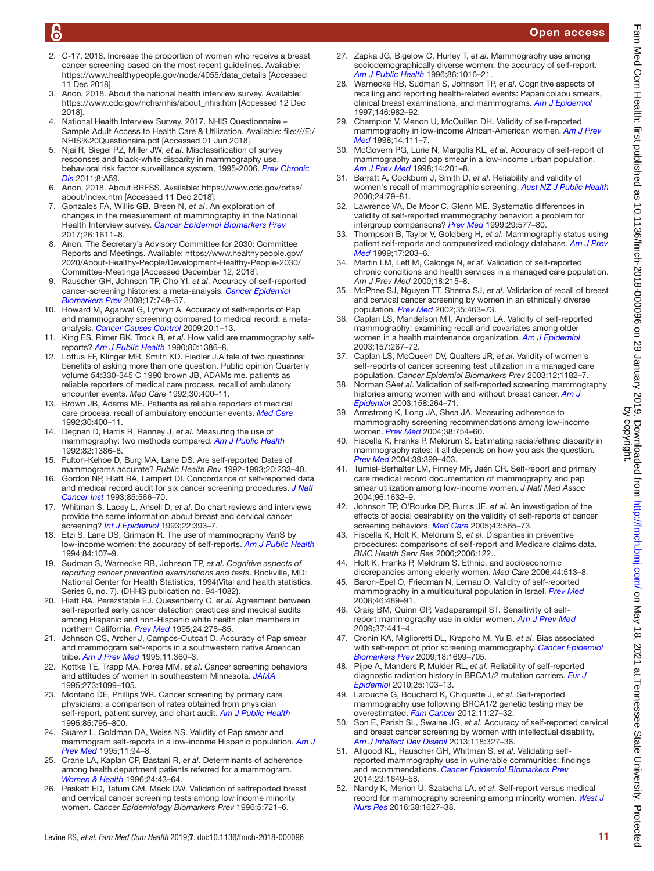### Open access

- <span id="page-12-0"></span>2. C-17, 2018. Increase the proportion of women who receive a breast cancer screening based on the most recent guidelines. Available: [https://www.healthypeople.gov/node/4055/data\\_details](https://www.healthypeople.gov/node/4055/data_details) [Accessed 11 Dec 2018].
- <span id="page-12-1"></span>3. Anon, 2018. About the national health interview survey. Available: [https://www.cdc.gov/nchs/nhis/about\\_nhis.htm](https://www.cdc.gov/nchs/nhis/about_nhis.htm) [Accessed 12 Dec 2018].
- <span id="page-12-2"></span>4. National Health Interview Survey, 2017. NHIS Questionnaire – Sample Adult Access to Health Care & Utilization. Available: [file:///E:/](file:///E:/NHIS%20Questionaire.pdf) [NHIS%20Questionaire.pdf](file:///E:/NHIS%20Questionaire.pdf) [Accessed 01 Jun 2018].
- <span id="page-12-3"></span>5. Njai R, Siegel PZ, Miller JW, *et al*. Misclassification of survey responses and black-white disparity in mammography use, behavioral risk factor surveillance system, 1995-2006. *[Prev Chronic](http://www.ncbi.nlm.nih.gov/pubmed/21477499)  [Dis](http://www.ncbi.nlm.nih.gov/pubmed/21477499)* 2011;8:A59.
- <span id="page-12-4"></span>6. Anon, 2018. About BRFSS. Available: [https://www.cdc.gov/brfss/](https://www.cdc.gov/brfss/about/index.htm) [about/index.htm](https://www.cdc.gov/brfss/about/index.htm) [Accessed 11 Dec 2018].
- <span id="page-12-5"></span>7. Gonzales FA, Willis GB, Breen N, *et al*. An exploration of changes in the measurement of mammography in the National Health Interview survey. *[Cancer Epidemiol Biomarkers Prev](http://dx.doi.org/10.1158/1055-9965.EPI-17-0213)* 2017;26:1611–8.
- <span id="page-12-6"></span>8. Anon. The Secretary's Advisory Committee for 2030: Committee Reports and Meetings. Available: [https://www.healthypeople.gov/](https://www.healthypeople.gov/2020/About-Healthy-People/Development-Healthy-People-2030/Committee-Meetings) [2020/About-Healthy-People/Development-Healthy-People-2030/](https://www.healthypeople.gov/2020/About-Healthy-People/Development-Healthy-People-2030/Committee-Meetings) [Committee-Meetings](https://www.healthypeople.gov/2020/About-Healthy-People/Development-Healthy-People-2030/Committee-Meetings) [Accessed December 12, 2018].
- <span id="page-12-7"></span>9. Rauscher GH, Johnson TP, Cho YI, *et al*. Accuracy of self-reported cancer-screening histories: a meta-analysis. *[Cancer Epidemiol](http://dx.doi.org/10.1158/1055-9965.EPI-07-2629)  [Biomarkers Prev](http://dx.doi.org/10.1158/1055-9965.EPI-07-2629)* 2008;17:748–57.
- <span id="page-12-15"></span>10. Howard M, Agarwal G, Lytwyn A. Accuracy of self-reports of Pap and mammography screening compared to medical record: a metaanalysis. *[Cancer Causes Control](http://dx.doi.org/10.1007/s10552-008-9228-4)* 2009;20:1–13.
- <span id="page-12-8"></span>11. King ES, Rimer BK, Trock B, *et al*. How valid are mammography selfreports? *[Am J Public Health](http://dx.doi.org/10.2105/AJPH.80.11.1386)* 1990;80:1386–8.
- <span id="page-12-20"></span>12. Loftus EF, Klinger MR, Smith KD. Fiedler J.A tale of two questions: benefits of asking more than one question. Public opinion Quarterly volume 54:330-345 C 1990 brown JB, ADAMs me. patients as reliable reporters of medical care process. recall of ambulatory encounter events. *Med Care* 1992;30:400–11.
- <span id="page-12-21"></span>13. Brown JB, Adams ME. Patients as reliable reporters of medical care process. recall of ambulatory encounter events. *[Med Care](http://www.ncbi.nlm.nih.gov/pubmed/1583918)* 1992;30:400–11.
- <span id="page-12-22"></span>14. Degnan D, Harris R, Ranney J, *et al*. Measuring the use of mammography: two methods compared. *[Am J Public Health](http://dx.doi.org/10.2105/AJPH.82.10.1386)* 1992;82:1386–8.
- <span id="page-12-23"></span>15. Fulton-Kehoe D, Burg MA, Lane DS. Are self-reported Dates of mammograms accurate? *Public Health Rev* 1992-1993;20:233–40.
- <span id="page-12-24"></span>16. Gordon NP, Hiatt RA, Lampert DI. Concordance of self-reported data and medical record audit for six cancer screening procedures. *[J Natl](http://dx.doi.org/10.1093/jnci/85.7.566)  [Cancer Inst](http://dx.doi.org/10.1093/jnci/85.7.566)* 1993;85:566–70.
- <span id="page-12-25"></span>17. Whitman S, Lacey L, Ansell D, *et al*. Do chart reviews and interviews provide the same information about breast and cervical cancer screening? *[Int J Epidemiol](http://dx.doi.org/10.1093/ije/22.3.393)* 1993;22:393–7.
- <span id="page-12-26"></span>18. Etzi S, Lane DS, Grimson R. The use of mammography VanS by low-income women: the accuracy of self-reports. *[Am J Public Health](http://dx.doi.org/10.2105/AJPH.84.1.107)* 1994;84:107–9.
- <span id="page-12-27"></span>19. Sudman S, Warnecke RB, Johnson TP, *et al*. *Cognitive aspects of reporting cancer prevention examinations and tests*. Rockville, MD: National Center for Health Statistics, 1994(Vital and health statistics, Series 6, no. 7). (DHHS publication no. 94-1082).
- <span id="page-12-9"></span>20. Hiatt RA, Perezstable EJ, Quesenberry C, *et al*. Agreement between self-reported early cancer detection practices and medical audits among Hispanic and non-Hispanic white health plan members in northern California. *[Prev Med](http://dx.doi.org/10.1006/pmed.1995.1045)* 1995;24:278–85.
- <span id="page-12-28"></span>21. Johnson CS, Archer J, Campos-Outcalt D. Accuracy of Pap smear and mammogram self-reports in a southwestern native American tribe. *[Am J Prev Med](http://dx.doi.org/10.1016/S0749-3797(18)30413-6)* 1995;11:360–3.
- <span id="page-12-29"></span>22. Kottke TE, Trapp MA, Fores MM, *et al*. Cancer screening behaviors and attitudes of women in southeastern Minnesota. *[JAMA](http://dx.doi.org/10.1001/jama.1995.03520380035032)* 1995;273:1099–105.
- <span id="page-12-30"></span>23. Montaño DE, Phillips WR. Cancer screening by primary care physicians: a comparison of rates obtained from physician self-report, patient survey, and chart audit. *[Am J Public Health](http://dx.doi.org/10.2105/AJPH.85.6.795)* 1995;85:795–800.
- <span id="page-12-31"></span>24. Suarez L, Goldman DA, Weiss NS. Validity of Pap smear and mammogram self-reports in a low-income Hispanic population. *[Am J](http://dx.doi.org/10.1016/S0749-3797(18)30483-5)  [Prev Med](http://dx.doi.org/10.1016/S0749-3797(18)30483-5)* 1995;11:94–8.
- <span id="page-12-32"></span>25. Crane LA, Kaplan CP, Bastani R, *et al*. Determinants of adherence among health department patients referred for a mammogram. *[Women & Health](http://dx.doi.org/10.1300/J013v24n02_03)* 1996;24:43–64.
- <span id="page-12-33"></span>26. Paskett ED, Tatum CM, Mack DW. Validation of selfreported breast and cervical cancer screening tests among low income minority women. *Cancer Epidemiology Biomarkers Prev* 1996;5:721–6.
- <span id="page-12-34"></span>27. Zapka JG, Bigelow C, Hurley T, *et al*. Mammography use among sociodemographically diverse women: the accuracy of self-report. *[Am J Public Health](http://dx.doi.org/10.2105/AJPH.86.7.1016)* 1996;86:1016–21.
- <span id="page-12-35"></span>28. Warnecke RB, Sudman S, Johnson TP, *et al*. Cognitive aspects of recalling and reporting health-related events: Papanicolaou smears, clinical breast examinations, and mammograms. *[Am J Epidemiol](http://dx.doi.org/10.1093/oxfordjournals.aje.a009226)* 1997;146:982–92.
- <span id="page-12-36"></span>29. Champion V, Menon U, McQuillen DH. Validity of self-reported mammography in low-income African-American women. *[Am J Prev](http://dx.doi.org/10.1016/S0749-3797(97)00021-4)  [Med](http://dx.doi.org/10.1016/S0749-3797(97)00021-4)* 1998;14:111–7.
- <span id="page-12-37"></span>30. McGovern PG, Lurie N, Margolis KL, *et al*. Accuracy of self-report of mammography and pap smear in a low-income urban population. *[Am J Prev Med](http://dx.doi.org/10.1016/S0749-3797(97)00076-7)* 1998;14:201–8.
- <span id="page-12-39"></span>31. Barratt A, Cockburn J, Smith D, *et al*. Reliability and validity of women's recall of mammographic screening. *[Aust NZ J Public Health](http://dx.doi.org/10.1111/j.1467-842X.2000.tb00728.x)* 2000;24:79–81.
- <span id="page-12-38"></span>32. Lawrence VA, De Moor C, Glenn ME. Systematic differences in validity of self-reported mammography behavior: a problem for intergroup comparisons? *[Prev Med](http://dx.doi.org/10.1006/pmed.1999.0575)* 1999;29:577–80.
- <span id="page-12-10"></span>33. Thompson B, Taylor V, Goldberg H, *et al*. Mammography status using patient self-reports and computerized radiology database. *[Am J Prev](http://dx.doi.org/10.1016/S0749-3797(99)00068-9)  [Med](http://dx.doi.org/10.1016/S0749-3797(99)00068-9)* 1999;17:203–6.
- <span id="page-12-40"></span>34. Martin LM, Leff M, Calonge N, *et al*. Validation of self-reported chronic conditions and health services in a managed care population. *Am J Prev Med* 2000;18:215–8.
- <span id="page-12-41"></span>35. McPhee SJ, Nguyen TT, Shema SJ, *et al*. Validation of recall of breast and cervical cancer screening by women in an ethnically diverse population. *[Prev Med](http://dx.doi.org/10.1006/pmed.2002.1096)* 2002;35:463–73.
- <span id="page-12-17"></span>36. Caplan LS, Mandelson MT, Anderson LA. Validity of self-reported mammography: examining recall and covariates among older women in a health maintenance organization. *[Am J Epidemiol](http://dx.doi.org/10.1093/aje/kwf202)* 2003;157:267–72.
- <span id="page-12-18"></span>37. Caplan LS, McQueen DV, Qualters JR, *et al*. Validity of women's self-reports of cancer screening test utilization in a managed care population. *Cancer Epidemiol Biomarkers Prev* 2003;12:1182–7.
- <span id="page-12-42"></span>38. Norman SA*et al*. Validation of self-reported screening mammography histories among women with and without breast cancer. *[Am J](http://dx.doi.org/10.1093/aje/kwg136)  [Epidemiol](http://dx.doi.org/10.1093/aje/kwg136)* 2003;158:264–71.
- <span id="page-12-43"></span>39. Armstrong K, Long JA, Shea JA. Measuring adherence to mammography screening recommendations among low-income women. *[Prev Med](http://dx.doi.org/10.1016/j.ypmed.2003.12.023)* 2004;38:754–60.
- <span id="page-12-44"></span>40. Fiscella K, Franks P, Meldrum S. Estimating racial/ethnic disparity in mammography rates: it all depends on how you ask the question. *[Prev Med](http://dx.doi.org/10.1016/j.ypmed.2004.02.002)* 2004;39:399–403.
- <span id="page-12-45"></span>41. Tumiel-Berhalter LM, Finney MF, Jaén CR. Self-report and primary care medical record documentation of mammography and pap smear utilization among low-income women. *J Natl Med Assoc* 2004;96:1632–9.
- <span id="page-12-46"></span>42. Johnson TP, O'Rourke DP, Burris JE, *et al*. An investigation of the effects of social desirability on the validity of self-reports of cancer screening behaviors. *[Med Care](http://dx.doi.org/10.1097/01.mlr.0000163648.26493.70)* 2005;43:565–73.
- <span id="page-12-47"></span>43. Fiscella K, Holt K, Meldrum S, *et al*. Disparities in preventive procedures: comparisons of self-report and Medicare claims data. *BMC Health Serv Res* 2006;2006:122..
- <span id="page-12-19"></span>44. Holt K, Franks P, Meldrum S. Ethnic, and socioeconomic discrepancies among elderly women. *Med Care* 2006;44:513–8.
- <span id="page-12-13"></span>45. Baron-Epel O, Friedman N, Lernau O. Validity of self-reported mammography in a multicultural population in Israel. *[Prev Med](http://dx.doi.org/10.1016/j.ypmed.2008.03.003)* 2008;46:489–91.
- <span id="page-12-48"></span>46. Craig BM, Quinn GP, Vadaparampil ST. Sensitivity of selfreport mammography use in older women. *[Am J Prev Med](http://dx.doi.org/10.1016/j.amepre.2009.07.007)* 2009;37:441–4.
- <span id="page-12-49"></span>47. Cronin KA, Miglioretti DL, Krapcho M, Yu B, *et al*. Bias associated with self-report of prior screening mammography. *[Cancer Epidemiol](http://dx.doi.org/10.1158/1055-9965.EPI-09-0020)  [Biomarkers Prev](http://dx.doi.org/10.1158/1055-9965.EPI-09-0020)* 2009;18:1699–705.
- <span id="page-12-14"></span>48. Pijpe A, Manders P, Mulder RL, *et al*. Reliability of self-reported diagnostic radiation history in BRCA1/2 mutation carriers. *[Eur J](http://dx.doi.org/10.1007/s10654-009-9416-x)  [Epidemiol](http://dx.doi.org/10.1007/s10654-009-9416-x)* 2010;25:103–13.
- <span id="page-12-12"></span>49. Larouche G, Bouchard K, Chiquette J, *et al*. Self-reported mammography use following BRCA1/2 genetic testing may be overestimated. *[Fam Cancer](http://dx.doi.org/10.1007/s10689-011-9490-6)* 2012;11:27–32.
- <span id="page-12-16"></span>50. Son E, Parish SL, Swaine JG, *et al*. Accuracy of self-reported cervical and breast cancer screening by women with intellectual disability. *[Am J Intellect Dev Disabil](http://dx.doi.org/10.1352/1944-7558-188.4.327)* 2013;118:327–36.
- <span id="page-12-50"></span>51. Allgood KL, Rauscher GH, Whitman S, *et al*. Validating selfreported mammography use in vulnerable communities: findings and recommendations. *[Cancer Epidemiol Biomarkers Prev](http://dx.doi.org/10.1158/1055-9965.EPI-13-1253)* 2014;23:1649–58.
- <span id="page-12-11"></span>52. Nandy K, Menon U, Szalacha LA, *et al*. Self-report versus medical record for mammography screening among minority women. *[West J](http://dx.doi.org/10.1177/0193945916647059)  [Nurs Res](http://dx.doi.org/10.1177/0193945916647059)* 2016;38:1627–38.